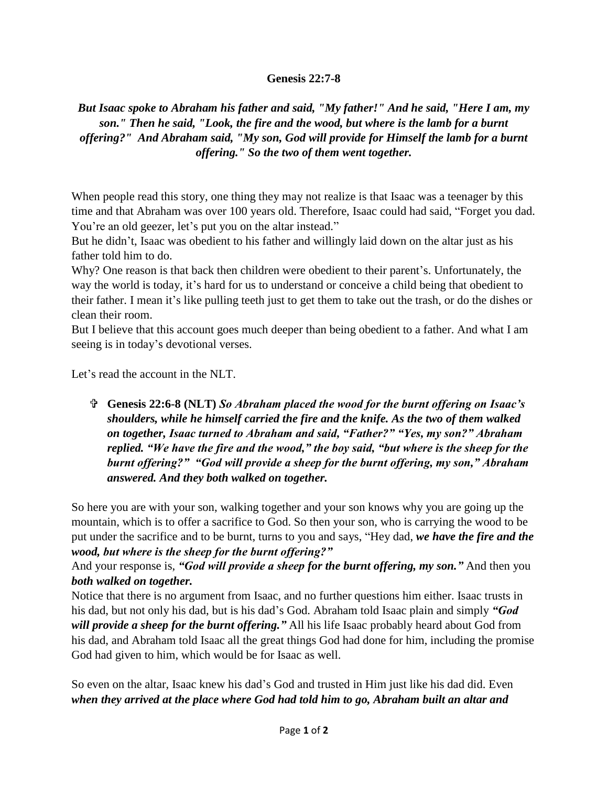## **Genesis 22:7-8**

*But Isaac spoke to Abraham his father and said, "My father!" And he said, "Here I am, my son." Then he said, "Look, the fire and the wood, but where is the lamb for a burnt offering?" And Abraham said, "My son, God will provide for Himself the lamb for a burnt offering." So the two of them went together.*

When people read this story, one thing they may not realize is that Isaac was a teenager by this time and that Abraham was over 100 years old. Therefore, Isaac could had said, "Forget you dad. You're an old geezer, let's put you on the altar instead."

But he didn't, Isaac was obedient to his father and willingly laid down on the altar just as his father told him to do.

Why? One reason is that back then children were obedient to their parent's. Unfortunately, the way the world is today, it's hard for us to understand or conceive a child being that obedient to their father. I mean it's like pulling teeth just to get them to take out the trash, or do the dishes or clean their room.

But I believe that this account goes much deeper than being obedient to a father. And what I am seeing is in today's devotional verses.

Let's read the account in the NLT.

 **Genesis 22:6-8 (NLT)** *So Abraham placed the wood for the burnt offering on Isaac's shoulders, while he himself carried the fire and the knife. As the two of them walked on together, Isaac turned to Abraham and said, "Father?" "Yes, my son?" Abraham replied. "We have the fire and the wood," the boy said, "but where is the sheep for the burnt offering?" "God will provide a sheep for the burnt offering, my son," Abraham answered. And they both walked on together.* 

So here you are with your son, walking together and your son knows why you are going up the mountain, which is to offer a sacrifice to God. So then your son, who is carrying the wood to be put under the sacrifice and to be burnt, turns to you and says, "Hey dad, *we have the fire and the wood, but where is the sheep for the burnt offering?"*

And your response is, *"God will provide a sheep for the burnt offering, my son."* And then you *both walked on together.*

Notice that there is no argument from Isaac, and no further questions him either. Isaac trusts in his dad, but not only his dad, but is his dad's God. Abraham told Isaac plain and simply *"God will provide a sheep for the burnt offering."* All his life Isaac probably heard about God from his dad, and Abraham told Isaac all the great things God had done for him, including the promise God had given to him, which would be for Isaac as well.

So even on the altar, Isaac knew his dad's God and trusted in Him just like his dad did. Even *when they arrived at the place where God had told him to go, Abraham built an altar and*